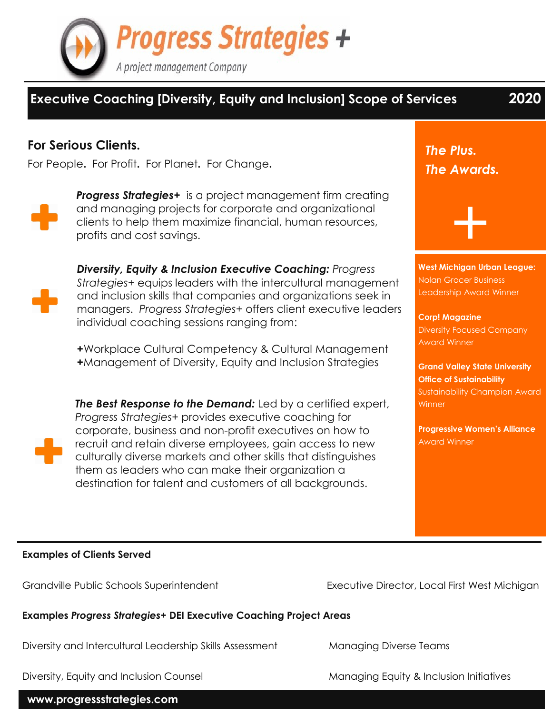

# **Executive Coaching [Diversity, Equity and Inclusion] Scope of Services 2020**

## **For Serious Clients.**

For People**.** For Profit**.** For Planet**.** For Change**.**



**Progress Strategies+** is a project management firm creating and managing projects for corporate and organizational clients to help them maximize financial, human resources, profits and cost savings.



*Diversity, Equity & Inclusion Executive Coaching: Progress Strategies+* equips leaders with the intercultural management and inclusion skills that companies and organizations seek in managers. *Progress Strategies+* offers client executive leaders individual coaching sessions ranging from:

**+**Workplace Cultural Competency & Cultural Management **+**Management of Diversity, Equity and Inclusion Strategies



*The Best Response to the Demand:* Led by a certified expert, *Progress Strategies+* provides executive coaching for corporate, business and non-profit executives on how to recruit and retain diverse employees, gain access to new culturally diverse markets and other skills that distinguishes them as leaders who can make their organization a destination for talent and customers of all backgrounds.

*The Plus. The Awards.*

**West Michigan Urban League:** Nolan Grocer Business Leadership Award Winner

+

**Corp! Magazine** Diversity Focused Company Award Winner

**Grand Valley State University Office of Sustainability** Sustainability Champion Award **Winner** 

**Progressive Women's Alliance** Award Winner

#### **Examples of Clients Served**

**Examples** *Progress Strategies+* **DEI Executive Coaching Project Areas**

Diversity and Intercultural Leadership Skills Assessment Managing Diverse Teams

**www.progressstrategies.com**

Grandville Public Schools Superintendent Executive Director, Local First West Michigan

Diversity, Equity and Inclusion Counsel **Managing Equity & Inclusion Initiatives**